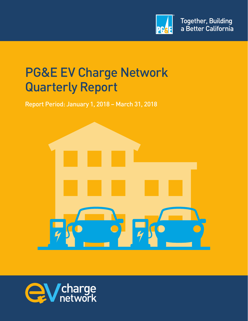

# PG&E EV Charge Network Quarterly Report

Report Period: January 1, 2018 – March 31, 2018



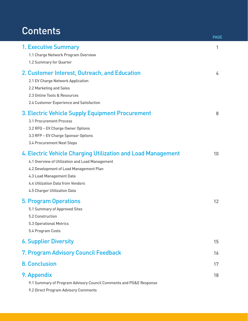## **Contents**

|                                                                                                                                                                                                                                                                    | <b>PAGE</b> |
|--------------------------------------------------------------------------------------------------------------------------------------------------------------------------------------------------------------------------------------------------------------------|-------------|
| <b>1. Executive Summary</b><br>1.1 Charge Network Program Overview<br>1.2 Summary for Quarter                                                                                                                                                                      | 1           |
| 2. Customer Interest, Outreach, and Education<br>2.1 EV Charge Network Application<br>2.2 Marketing and Sales<br>2.3 Online Tools & Resources<br>2.4 Customer Experience and Satisfaction                                                                          | 4           |
| 3. Electric Vehicle Supply Equipment Procurement<br>3.1 Procurement Process<br>3.2 RFQ - EV Charge Owner Options<br>3.3 RFP - EV Charge Sponsor Options<br>3.4 Procurement Next Steps                                                                              | 8           |
| 4. Electric Vehicle Charging Utilization and Load Management<br>4.1 Overview of Utilization and Load Management<br>4.2 Development of Load Management Plan<br>4.3 Load Management Data<br><b>4.4 Utilization Data from Vendors</b><br>4.5 Charger Utilization Data | 10          |
| <b>5. Program Operations</b><br>5.1 Summary of Approved Sites<br>5.2 Construction<br><b>5.3 Operational Metrics</b><br>5.4 Program Costs                                                                                                                           | 12          |
| <b>6. Supplier Diversity</b>                                                                                                                                                                                                                                       | 15          |
| 7. Program Advisory Council Feedback                                                                                                                                                                                                                               | 16          |
| <b>8. Conclusion</b>                                                                                                                                                                                                                                               | 17          |
| 9. Appendix<br>9.1 Summary of Program Advisory Council Comments and PG&E Response<br>9.2 Direct Program Advisory Comments                                                                                                                                          | 18          |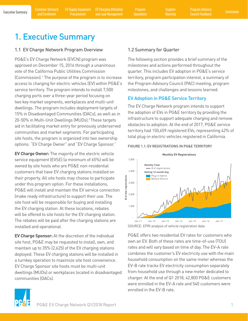## 1. Executive Summary

## 1.1 EV Charge Network Program Overview

PG&E's EV Charge Network (EVCN) program was approved on December 15, 2016 through a unanimous vote of the California Public Utilities Commission (Commission).1 The purpose of the program is to increase access to charging for electric vehicles (EV) within PG&E's service territory. The program intends to install 7,500 charging ports over a three-year period focusing on two key market segments, workplaces and multi-unit dwellings. The program includes deployment targets of 15% in Disadvantaged Communities (DACs), as well as in 20-50% in Multi-Unit Dwellings (MUDs).<sup>2</sup> These targets aid in facilitating market entry for previously underserved communities and market segments. For participating site hosts, the program is organized into two ownership options: "EV Charge Owner" and "EV Charge Sponsor."

**EV Charge Owner:** The majority of the electric vehicle service equipment (EVSE) (a minimum of 65%) will be owned by site hosts who are PG&E non-residential customers that have EV charging stations installed on their property. All site hosts may choose to participate under this program option. For these installations, PG&E will install and maintain the EV service connection (make ready infrastructure) to support their use. The site host will be responsible for buying and installing the EV charging station. At these locations, rebates will be offered to site hosts for the EV charging station. The rebates will be paid after the charging stations are installed and operational.

**EV Charge Sponsor:** At the discretion of the individual site host, PG&E may be requested to install, own, and maintain up to 35% (2,625) of the EV charging stations deployed. These EV charging stations will be installed in a turnkey operation to maximize site host convenience. EV Charge Sponsor site hosts must be multi-unit dwellings (MUDs) or workplaces located in disadvantaged communities (DACs).

### 1.2 Summary for Quarter

The following section provides a brief summary of the milestones and actions performed throughout the quarter. This includes EV adoption in PG&E's service territory, program participation interest, a summary of the Program Advisory Council (PAC) meeting, program milestones, and challenges and lessons learned.

## EV Adoption in PG&E Service Territory

The EV Charge Network program intends to support the adoption of EVs in PG&E territory by providing the infrastructure to support adequate charging and remove obstacles to adoption. At the end of 2017, PG&E service territory had 150,659 registered EVs, representing 42% of total plug-in electric vehicles registered in California.



FIGURE 1.1: EV REGISTRATIONS IN PG&E TERRITORY

PG&E offers two residential EV rates for customers who own an EV. Both of these rates are time-of-use (TOU) rates and will vary based on time of day. The EV-A rate combines the customer's EV electricity use with the main household consumption on the same meter whereas the EV-B rate tracks EV electricity consumption separately from household use through a new meter dedicated to charger. At the end of Q1 2018, 42,800 PG&E customers were enrolled in the EV-A rate and 540 customers were enrolled in the EV-B rate.

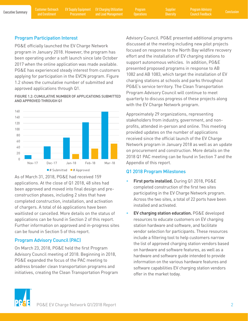EV Supply Equipment Procurement

Executive Summary Customer Outreach EV Supply Equipment EV Charging Utilization Program Supplier Program Advisory<br>Executive Summary and Encellment Programent and Lead Management Operations Diversity Council Encelhack Concl EV Charging Utilization and Load Management

Program **Operations**  **Diversity** 

Program Advisory Council Feedback

#### Program Participation Interest

PG&E officially launched the EV Charge Network program in January 2018. However, the program has been operating under a soft launch since late October 2017 when the online application was made available. PG&E has experienced steady interest from customers applying for participation in the EVCN program. Figure 1.2 shows the cumulative number of submitted and approved applications through Q1.

FIGURE 1.2: CUMULATIVE NUMBER OF APPLICATIONS SUBMITTED AND APPROVED THROUGH Q1



As of March 31, 2018, PG&E had received 159 applications. At the close of Q1 2018, 48 sites had been approved and moved into final design and preconstruction phases, including 2 sites that have completed construction, installation, and activation of chargers. A total of 66 applications have been waitlisted or cancelled. More details on the status of applications can be found in Section 2 of this report. Further information on approved and in-progress sites can be found in Section 5 of this report.

## Program Advisory Council (PAC)

On March 23, 2018, PG&E held the first Program Advisory Council meeting of 2018. Beginning in 2018, PG&E expanded the focus of the PAC meeting to address broader clean transportation programs and initiatives, creating the Clean Transportation Program Advisory Council. PG&E presented additional programs discussed at the meeting including new pilot projects focused on response to the North Bay wildfire recovery effort and the installation of EV charging stations to support autonomous vehicles. In addition, PG&E presented proposed programs in response to AB 1082 and AB 1083, which target the installation of EV charging stations at schools and parks throughout PG&E's service territory. The Clean Transportation Program Advisory Council will continue to meet quarterly to discuss progress of these projects along with the EV Charge Network program.

Approximately 29 organizations, representing stakeholders from industry, government, and nonprofits, attended in-person and online. This meeting provided updates on the number of applications received since the official launch of the EV Charge Network program in January 2018 as well as an update on procurement and construction. More details on the 2018 Q1 PAC meeting can be found in Section 7 and the Appendix of this report.

#### Q1 2018 Program Milestones

- **• First ports installed.** During Q1 2018, PG&E completed construction of the first two sites participating in the EV Charge Network program. Across the two sites, a total of 22 ports have been installed and activated.
- **• EV charging station education.** PG&E developed resources to educate customers on EV charging station hardware and software, and facilitate vendor selection for participants. These resources include a filtering tool to help customers narrow the list of approved charging station vendors based on hardware and software features, as well as a hardware and software guide intended to provide information on the various hardware features and software capabilities EV charging station vendors offer in the market today.

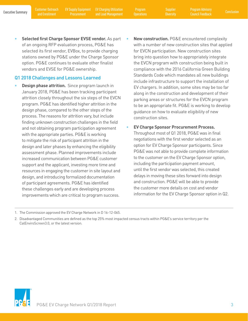**Diversity** 

**• Selected first Charge Sponsor EVSE vendor.** As part of an ongoing RFP evaluation process, PG&E has selected its first vendor, EVBox, to provide charging stations owned by PG&E under the Charge Sponsor option. PG&E continues to evaluate other finalist vendors and EVSE for PG&E ownership.

### Q1 2018 Challenges and Lessons Learned

- **• Design phase attrition.** Since program launch in January 2018, PG&E has been tracking participant attrition closely throughout the six steps of the EVCN program. PG&E has identified higher attrition in the design phase, compared to the other steps of the process. The reasons for attrition vary, but include finding unknown construction challenges in the field and not obtaining program participation agreement with the appropriate parties. PG&E is working to mitigate the risk of participant attrition in the design and later phases by enhancing the eligibility assessment phase. Planned improvements include increased communication between PG&E customer support and the applicant, investing more time and resources in engaging the customer in site layout and design, and introducing formalized documentation of participant agreements. PG&E has identified these challenges early and are developing process improvements which are critical to program success.
- **• New construction.** PG&E encountered complexity with a number of new construction sites that applied for EVCN participation. New construction sites bring into question how to appropriately integrate the EVCN program with construction being built in compliance with the 2016 California Green Building Standards Code which mandates all new buildings include infrastructure to support the installation of EV chargers. In addition, some sites may be too far along in the construction and development of their parking areas or structures for the EVCN program to be an appropriate fit. PG&E is working to develop guidance on how to evaluate eligibility of new construction sites.
- **• EV Charge Sponsor Procurement Process.**  Throughout most of Q1 2018, PG&E was in final negotiations with the first vendor selected as an option for EV Charge Sponsor participants. Since PG&E was not able to provide complete information to the customer on the EV Charge Sponsor option, including the participation payment amount, until the first vendor was selected, this created delays in moving these sites forward into design and construction. PG&E will be able to provide the customer more details on cost and vendor information for the EV Charge Sponsor option in Q2.



<sup>1.</sup> The Commission approved the EV Charge Network in D 16-12-065.

<sup>2.</sup> Disadvantaged Communities are defined as the top 25% most impacted census tracts within PG&E's service territory per the CalEnviroScreen3.0, or the latest version.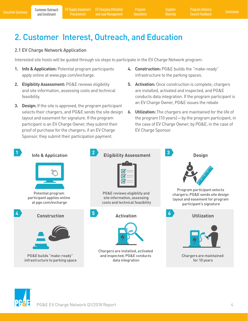## 2. Customer Interest, Outreach, and Education

### 2.1 EV Charge Network Application

Interested site hosts will be guided through six steps to participate in the EV Charge Network program:

- **1. Info & Application:** Potential program participants apply online at www.pge.com/evcharge.
- **2. Eligibility Assessment:** PG&E reviews eligibility and site information, assessing costs and technical feasibility.
- **3. Design:** If the site is approved, the program participant selects their chargers, and PG&E sends the site design layout and easement for signature. If the program participant is an EV Charge Owner, they submit their proof of purchase for the chargers; if an EV Charge Sponsor, they submit their participation payment.
- **4. Construction:** PG&E builds the "make-ready" infrastructure to the parking spaces.
- **5. Activation:** Once construction is complete, chargers are installed, activated and inspected, and PG&E conducts data integration. If the program participant is an EV Charge Owner, PG&E issues the rebate
- **6. Utilization:** The chargers are maintained for the life of the program (10 years)—by the program participant, in the case of EV Charge Owner; by PG&E, in the case of EV Charge Sponsor.



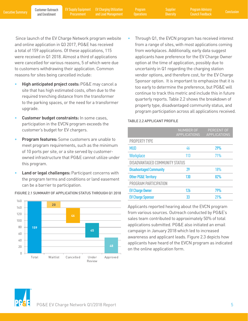Procurement

Executive Summary Poustomer Outreach EV Supply Equipment EV Charging Utilization Program Supplier Program Advisory<br>Executive Summary and Enrollment Procurement and Load Management Operations Diversity Council Feedback Conc EV Charging Utilization and Load Management

Program **Operations**  **Diversity** 

 Since launch of the EV Charge Network program website and online application in Q3 2017, PG&E has received a total of 159 applications. Of these applications, 115 were received in Q1 2018. Almost a third of applications were cancelled for various reasons, 5 of which were due to customers withdrawing their application. Common reasons for sites being cancelled include:

- **• High anticipated project costs:** PG&E may cancel a site that has high estimated costs, often due to the required trenching distance from the transformer to the parking spaces, or the need for a transformer upgrade.
- **• Customer budget constraints:** In some cases, participation in the EVCN program exceeds the customer's budget for EV chargers.
- **• Program features:** Some customers are unable to meet program requirements, such as the minimum of 10 ports per site, or a site served by customerowned infrastructure that PG&E cannot utilize under this program.
- **• Land or legal challenges:** Participant concerns with the program terms and conditions or land easement can be a barrier to participation.



FIGURE 2.1 SUMMARY OF APPLICATION STATUS THROUGH Q1 2018

• Through Q1, the EVCN program has received interest from a range of sites, with most applications coming from workplaces. Additionally, early data suggest applicants have preference for the EV Charge Owner option at the time of application, possibly due to uncertainty in Q1 regarding the charging station vendor options, and therefore cost, for the EV Charge Sponsor option. It is important to emphasize that it is too early to determine the preference, but PG&E will continue to track this metric and include this in future quarterly reports. Table 2.2 shows the breakdown of property type, disadvantaged community status, and program participation across all applications received.

#### TABLE 2.2 APPLICANT PROFILE

|                                       | <b>NUMBER OF</b><br><b>APPLICATIONS</b> | <b>PERCENT OF</b><br><b>APPLICATIONS</b> |  |
|---------------------------------------|-----------------------------------------|------------------------------------------|--|
| <b>PROPERTY TYPE</b>                  |                                         |                                          |  |
| <b>MUD</b>                            | 46                                      | 29%                                      |  |
| <b>Workplace</b>                      | 113                                     | 71%                                      |  |
| <b>DISADVANTAGED COMMUNITY STATUS</b> |                                         |                                          |  |
| <b>Disadvantaged Community</b>        | 29                                      | 18%                                      |  |
| <b>Other PG&amp;E Territory</b>       | 130                                     | 82%                                      |  |
| PROGRAM PARTICIPATION                 |                                         |                                          |  |
| <b>EV Charge Owner</b>                | 126                                     | 79%                                      |  |
| <b>EV Charge Sponsor</b>              | 33                                      | 21%                                      |  |

Applicants reported hearing about the EVCN program from various sources. Outreach conducted by PG&E's sales team contributed to approximately 50% of total applications submitted. PG&E also initiated an email campaign in January 2018 which led to increased awareness and applicant leads. Figure 2.3 depicts how applicants have heard of the EVCN program as indicated on the online application form.

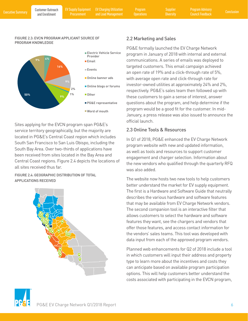#### FIGURE 2.3: EVCN PROGRAM APPLICANT SOURCE OF PROGRAM KNOWLEDGE



Sites applying for the EVCN program span PG&E's service territory geographically, but the majority are located in PG&E's Central Coast region which includes South San Francisco to San Luis Obispo, including the South Bay Area. Over two-thirds of applications have been received from sites located in the Bay Area and Central Coast regions. Figure 2.4 depicts the locations of all sites received thus far.

FIGURE 2.4: GEOGRAPHIC DISTRIBUTION OF TOTAL APPLICATIONS RECEIVED



## 2.2 Marketing and Sales

PG&E formally launched the EV Charge Network program in January of 2018 with internal and external communications. A series of emails was deployed to targeted customers. This email campaign achieved an open rate of 19% and a click-through rate of 5%, with average open rate and click-through rate for investor-owned utilities at approximately 24% and 2%, respectively. PG&E's sales team then followed up with these customers to gain a sense of interest, answer questions about the program, and help determine if the program would be a good fit for the customer. In mid-January, a press release was also issued to announce the official launch.

## 2.3 Online Tools & Resources

In Q1 of 2018, PG&E enhanced the EV Charge Network program website with new and updated information, as well as tools and resources to support customer engagement and charger selection. Information about the new vendors who qualified through the quarterly RFQ was also added.

The website now hosts two new tools to help customers better understand the market for EV supply equipment. The first is a Hardware and Software Guide that neutrally describes the various hardware and software features that may be available from EV Charge Network vendors. The second companion tool is an interactive filter that allows customers to select the hardware and software features they want, see the chargers and vendors that offer those features, and access contact information for the vendors' sales teams. This tool was developed with data input from each of the approved program vendors.

Planned web enhancements for Q2 of 2018 include a tool in which customers will input their address and property type to learn more about the incentives and costs they can anticipate based on available program participation options. This will help customers better understand the costs associated with participating in the EVCN program,

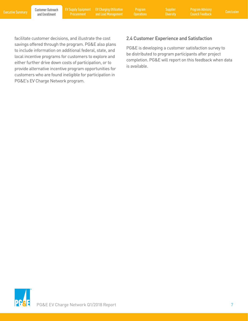Procurement

Executive Summary Poustomer Outreach EV Supply Equipment EV Charging Utilization Program Supplier Program Advisory<br>Executive Summary and Enrollment Procurement and Load Management Operations Diversity Council Feedback Conc EV Charging Utilization and Load Management

Program **Operations** 

facilitate customer decisions, and illustrate the cost savings offered through the program. PG&E also plans to include information on additional federal, state, and local incentive programs for customers to explore and either further drive down costs of participation, or to provide alternative incentive program opportunities for customers who are found ineligible for participation in PG&E's EV Charge Network program.

## 2.4 Customer Experience and Satisfaction

PG&E is developing a customer satisfaction survey to be distributed to program participants after project completion. PG&E will report on this feedback when data is available.

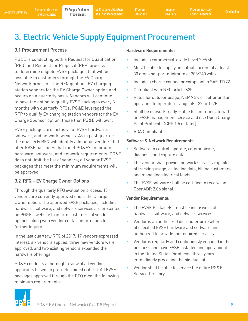**Diversity** 

## 3. Electric Vehicle Supply Equipment Procurement

## 3.1 Procurement Process

PG&E is conducting both a Request for Qualification (RFQ) and Request for Proposal (RFP) process to determine eligible EVSE packages that will be available to customers through the EV Charge Network program. The RFQ qualifies EV charging station vendors for the EV Charge Owner option and occurs on a quarterly basis. Vendors will continue to have the option to qualify EVSE packages every 3 months with quarterly RFQs. PG&E leveraged the RFP to qualify EV charging station vendors for the EV Charge Sponsor option, those that PG&E will own.

EVSE packages are inclusive of EVSE hardware, software, and network services. As in past quarters, the quarterly RFQ will identify additional vendors that offer EVSE packages that meet PG&E's minimum hardware, software, and network requirements. PG&E does not limit the list of vendors; all vendor EVSE packages that meet the minimum requirements will be approved.

## 3.2 RFQ – EV Charge Owner Options

Through the quarterly RFQ evaluation process, 18 vendors are currently approved under the Charge Owner option. The approved EVSE packages, including hardware, software, and network services are presented on PG&E's website to inform customers of vendor options, along with vendor contact information for further inquiry.

In the last quarterly RFQ of 2017, 17 vendors expressed interest, six vendors applied, three new vendors were approved, and two existing vendors expanded their hardware offerings.

PG&E conducts a thorough review of all vendor applicants based on pre-determined criteria. All EVSE packages approved through the RFQ meet the following minimum requirements:

### **Hardware Requirements:**

- Include a commercial-grade Level 2 EVSE.
- Must be able to supply an output current of at least 30 amps per port minimum at 208/240 volts.
- Include a charge connector compliant in SAE J1772.
- Compliant with NEC article 625.
- Rated for outdoor usage, NEMA 3R or better and an operating temperature range of: - 22 to 122F.
- Shall be network ready—able to communicate with an EVSE management service and use Open Charge Point Protocol (OCPP 1.5 or later).
- ADA Compliant.

#### **Software & Network Requirements:**

- Software to control, operate, communicate, diagnose, and capture data.
- The vendor shall provide network services capable of tracking usage, collecting data, billing customers and managing electrical loads.
- The EVSE software shall be certified to receive an OpenADR 2.0b signal.

#### **Vendor Requirements:**

- The EVSE Package(s) must be inclusive of all hardware, software, and network services.
- Vendor is an authorized distributer or reseller of specified EVSE hardware and software and authorized to provide the required services.
- Vendor is regularly and continuously engaged in the business and have EVSE installed and operational in the United States for at least three years immediately preceding the bid due date.
- Vendor shall be able to service the entire PG&E Service Territory.

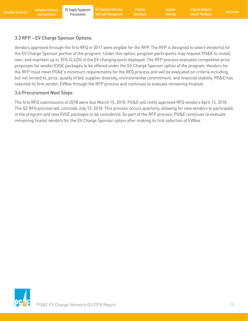## 3.3 RFP – EV Charge Sponsor Options

Vendors approved through the first RFQ in 2017 were eligible for the RFP. The RFP is designed to select vendor(s) for the EV Charge Sponsor portion of the program. Under this option, program participants may request PG&E to install, own, and maintain up to 35% (2,625) of the EV charging ports deployed. The RFP process evaluates competitive price proposals for vendor EVSE packages to be offered under the EV Charge Sponsor option of the program. Vendors for the RFP must meet PG&E's minimum requirements for the RFQ process and will be evaluated on criteria including, but not limited to, price, quality of bid, supplier diversity, environmental commitment, and financial stability. PG&E has selected its first vendor, EVBox through the RFP process and continues to evaluate remaining finalists.

### 3.4 Procurement Next Steps

The first RFQ submissions of 2018 were due March 15, 2018. PG&E will notify approved RFQ vendors April 15, 2018. The Q2 RFQ process will conclude July 15, 2018. This process occurs quarterly, allowing for new vendors to participate in the program and new EVSE packages to be considered. As part of the RFP process, PG&E continues to evaluate remaining finalist vendors for the EV Charge Sponsor option after making its first selection of EVBox.

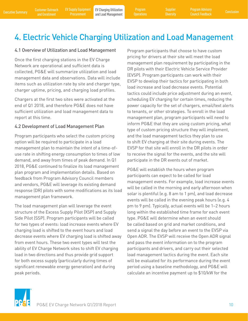**Diversity** 

## 4. Electric Vehicle Charging Utilization and Load Management

#### 4.1 Overview of Utilization and Load Management

Once the first charging stations in the EV Charge Network are operational and sufficient data is collected, PG&E will summarize utilization and load management data and observations. Data will include items such as utilization rate by site and charger type, charger uptime, pricing, and charging load profiles.

Chargers at the first two sites were activated at the end of Q1 2018, and therefore PG&E does not have sufficient utilization and load management data to report at this time.

#### 4.2 Development of Load Management Plan

Program participants who select the custom pricing option will be required to participate in a load management plan to maintain the intent of a time-ofuse rate in shifting energy consumption to times of low demand, and away from times of peak demand. In Q1 2018, PG&E continued to finalize its load management plan program and implementation details. Based on feedback from Program Advisory Council members and vendors, PG&E will leverage its existing demand response (DR) pilots with some modifications as its load management plan framework.

The load management plan will leverage the event structure of the Excess Supply Pilot (XSP) and Supply Side Pilot (SSP). Program participants will be called for two types of events: load increase events where EV charging load is shifted to the event hours and load decrease events where EV charging load is shifted away from event hours. These two event types will test the ability of EV Charge Network sites to shift EV charging load in two directions and thus provide grid support for both excess supply (particularly during times of significant renewable energy generation) and during peak periods.

Program participants that choose to have custom pricing for drivers at their site will meet the load management plan requirement by participating in the DR pilots with their Electric Vehicle Service Provider (EVSP). Program participants can work with their EVSP to develop their tactics for participating in both load increase and load decrease events. Potential tactics could include price adjustment during an event, scheduling EV charging for certain times, reducing the power capacity for the set of chargers, email/text alerts to tenants, or other strategies. To enroll in the load management plan, program participants will need to inform PG&E that they are using custom pricing, what type of custom pricing structure they will implement, and the load management tactics they plan to use to shift EV charging at their site during events. The EVSP for that site will enroll in the DR pilots in order to receive the signal for the events, and the site will participate in the DR events out of market.

PG&E will establish the hours when program participants can expect to be called for load management events. For example, load increase events will be called in the morning and early afternoon when solar is plentiful (e.g. 8 am to 1 pm), and load decrease events will be called in the evening peak hours (e.g. 4 pm to 9 pm). Typically, actual events will be 1–2 hours long within the established time frame for each event type. PG&E will determine when an event should be called based on grid and market conditions, and send a signal the day before an event to the EVSP via Open ADR. The EVSP will receive the Open ADR signal and pass the event information on to the program participants and drivers, and carry out their selected load management tactics during the event. Each site will be evaluated for its performance during the event period using a baseline methodology, and PG&E will calculate an incentive payment up to \$10/kW for the

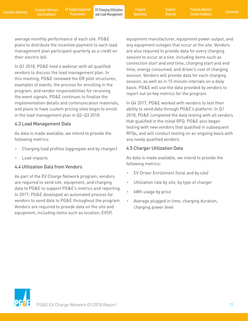average monthly performance of each site. PG&E plans to distribute the incentive payment to each load management plan participant quarterly as a credit on their electric bill.

In Q1 2018, PG&E held a webinar with all qualified vendors to discuss the load management plan. In this meeting, PG&E reviewed the DR pilot structures, examples of events, the process for enrolling in the program, and vendor responsibilities for receiving the event signals. PG&E continues to finalize the implementation details and communication materials, and plans to have custom pricing sites begin to enroll in the load management plan in Q2–Q3 2018.

### 4.3 Load Management Data

As data is made available, we intend to provide the following metrics:

- Charging load profiles (aggregate and by charger)
- Load impacts

## 4.4 Utilization Data from Vendors

As part of the EV Charge Network program, vendors are required to send site, equipment, and charging data to PG&E to support PG&E's metrics and reporting. In 2017, PG&E developed an automated process for vendors to send data to PG&E throughout the program. Vendors are required to provide data on the site and equipment, including items such as location, EVSP,

equipment manufacturer, equipment power output, and any equipment outages that occur at the site. Vendors are also required to provide data for every charging session to occur at a site, including items such as connection start and end time, charging start and end time, energy consumed, and driver's cost of charging session. Vendors will provide data for each charging session, as well as in 15 minute intervals on a daily basis. PG&E will use the data provided by vendors to report out on key metrics for the program.

In Q4 2017, PG&E worked with vendors to test their ability to send data through PG&E's platform. In Q1 2018, PG&E completed the data testing with all vendors that qualified in the initial RFQ. PG&E also began testing with new vendors that qualified in subsequent RFQs, and will conduct testing on an ongoing basis with any newly qualified vendors.

### 4.5 Charger Utilization Data

As data is made available, we intend to provide the following metrics:

- EV Driver Enrollment (total and by site)
- Utilization rate by site, by type of charger
- kWh usage by price
- Average plugged in time, charging duration, charging power level

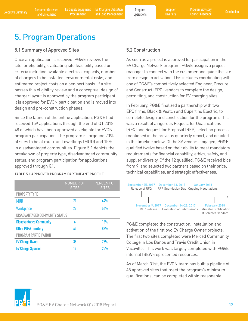## 5. Program Operations

### 5.1 Summary of Approved Sites

Once an application is received, PG&E reviews the site for eligibility, evaluating site feasibility based on criteria including available electrical capacity, number of chargers to be installed, environmental risks, and estimated project costs on a per-port basis. If a site passes this eligibility review and a conceptual design of charger layout is approved by the program participant, it is approved for EVCN participation and is moved into design and pre-construction phases.

Since the launch of the online application, PG&E had received 159 applications through the end of Q1 2018, 48 of which have been approved as eligible for EVCN program participation. The program is targeting 20% of sites to be at multi-unit dwellings (MUD) and 15% in disadvantaged communities. Figure 5.1 depicts the breakdown of property type, disadvantaged community status, and program participation for applications approved through Q1.

#### TABLE 5.1 APPROVED PROGRAM PARTICIPANT PROFILE

|                                 | <b>NUMBER OF</b><br><b>SITES</b> | PERCENT OF<br><b>SITES</b> |
|---------------------------------|----------------------------------|----------------------------|
| <b>PROPERTY TYPE</b>            |                                  |                            |
| <b>MUD</b>                      | 21                               | 44%                        |
| <b>Workplace</b>                | 27                               | 56%                        |
| DISADVANTAGED COMMUNITY STATUS  |                                  |                            |
| <b>Disadvantaged Community</b>  | 6                                | 13%                        |
| <b>Other PG&amp;E Territory</b> | 42                               | 88%                        |
| PROGRAM PARTICIPATION           |                                  |                            |
| <b>EV Charge Owner</b>          | 36                               | 75%                        |
| <b>EV Charge Sponsor</b>        | 17                               | <b>25%</b>                 |

### 5.2 Construction

As soon as a project is approved for participation in the EV Charge Network program, PG&E assigns a project manager to connect with the customer and guide the site from design to activation. This includes coordinating with one of PG&E's competitively selected Engineer, Procure and Construct (EPC) vendors to complete the design, permitting, and construction for EV charging sites.

In February, PG&E finalized a partnership with two EPC firms, Black & Veatch and Cupertino Electric, to complete design and construction for the program. This was a result of a rigorous Request for Qualifications (RFQ) and Request for Proposal (RFP) selection process mentioned in the previous quarterly report, and detailed in the timeline below. Of the 39 vendors engaged, PG&E qualified twelve based on their ability to meet mandatory requirements for financial capability, ethics, safety, and supplier diversity. Of the 12 qualified, PG&E received bids from 9, and selected two partners based on their price, technical capabilities, and strategic effectiveness.



PG&E completed the construction, installation and activation of the first two EV Charge Owner projects. The first two sites completed were Merced Community College in Los Banos and Travis Credit Union in Vacaville. This work was largely completed with PG&E internal IBEW-represented resources.

As of March 31st, the EVCN team has built a pipeline of 48 approved sites that meet the program's minimum qualifications, can be completed within reasonable

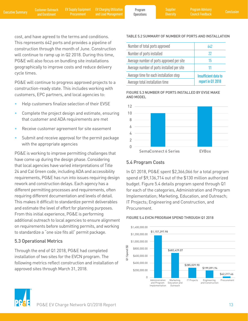cost, and have agreed to the terms and conditions. This represents 642 ports and provides a pipeline of construction through the month of June. Construction will continue to ramp up in Q2 2018. During this time, PG&E will also focus on bundling site installations geographically to improve costs and reduce delivery cycle times.

PG&E will continue to progress approved projects to a construction-ready state. This includes working with customers, EPC partners, and local agencies to:

- Help customers finalize selection of their EVSE
- Complete the project design and estimate, ensuring that customer and ADA requirements are met
- Receive customer agreement for site easement
- Submit and receive approval for the permit package with the appropriate agencies

PG&E is working to improve permitting challenges that have come up during the design phase. Considering that local agencies have varied interpretations of Title 24 and Cal Green code, including ADA and accessibility requirements, PG&E has run into issues requiring design rework and construction delays. Each agency has a different permitting processes and requirements, often requiring different documentation and levels of detail. This makes it difficult to standardize permit deliverables and estimate the level of effort for planning purposes. From this initial experience, PG&E is performing additional outreach to local agencies to ensure alignment on requirements before submitting permits, and working to standardize a "one size fits all" permit package.

## 5.3 Operational Metrics

Through the end of Q1 2018, PG&E had completed installation of two sites for the EVCN program. The following metrics reflect construction and installation of approved sites through March 31, 2018.

## TABLE 5.2 SUMMARY OF NUMBER OF PORTS AND INSTALLATION

| Number of total ports approved             | 642                  |
|--------------------------------------------|----------------------|
| Number of ports installed                  | 22                   |
| Average number of ports approved per site  | 15                   |
| Average number of ports installed per site |                      |
| Average time for each installation step    | Insufficient data to |
| Average total installation time            | report in Q1 2018    |

FIGURE 5.3 NUMBER OF PORTS INSTALLED BY EVSE MAKE AND MODEL



## 5.4 Program Costs

In Q1 2018, PG&E spent \$2,366,066 for a total program spend of \$9,136,714 out of the \$130 million authorized budget. Figure 5.4 details program spend through Q1 for each of the categories, Administration and Program Implementation; Marketing, Education, and Outreach; IT Projects; Engineering and Construction, and Procurement.

#### FIGURE 5.4 EVCN PROGRAM SPEND THROUGH Q1 2018



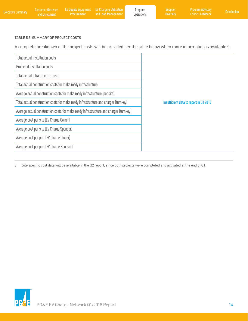| <b>Executive Summarv</b> | <b>Customer Outreach</b><br>and Enrollment I | Procurement | <b>EV Supply Equipment EV Charging Utilization</b><br>and Load Management | Program<br>Operations | Supplier<br><b>Diversity</b> | <b>Program Advisory</b><br><b>Council Feedback</b> | Conclusion |
|--------------------------|----------------------------------------------|-------------|---------------------------------------------------------------------------|-----------------------|------------------------------|----------------------------------------------------|------------|
|                          |                                              |             |                                                                           |                       |                              |                                                    |            |

#### TABLE 5.5 SUMMARY OF PROJECT COSTS

A complete breakdown of the project costs will be provided per the table below when more information is available  $^3$ .

| Total actual installation costs                                                       |                                        |
|---------------------------------------------------------------------------------------|----------------------------------------|
| Projected installation costs                                                          |                                        |
| Total actual infrastructure costs                                                     |                                        |
| Total actual construction costs for make ready infrastructure                         |                                        |
| Average actual construction costs for make ready infrastructure (per site)            |                                        |
| Total actual construction costs for make ready infrastructure and charger (turnkey)   | Insufficient data to report in Q1 2018 |
| Average actual construction costs for make ready infrastructure and charger (turnkey) |                                        |
| Average cost per site (EV Charge Owner)                                               |                                        |
| Average cost per site (EV Charge Sponsor)                                             |                                        |
| Average cost per port (EV Charge Owner)                                               |                                        |
| Average cost per port (EV Charge Sponsor)                                             |                                        |

3. Site specific cost data will be available in the Q2 report, since both projects were completed and activated at the end of Q1.

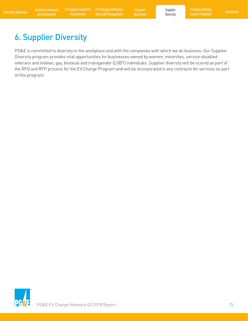Executive Summary Customer Outreach EV Supply Equipment EV Charging Utilization Program Supplier Program Advisory<br>Executive Summary and Enrollment Procurement and Load Management Operations Diversity Council Feedback Concl EV Charging Utilization and Load Management

Program

Supplier **Diversity** 

## 6. Supplier Diversity

PG&E is committed to diversity in the workplace and with the companies with which we do business. Our Supplier Diversity program provides vital opportunities for businesses owned by women, minorities, service-disabled veterans and lesbian, gay, bisexual and transgender (LGBT) individuals. Supplier diversity will be scored as part of the RFQ and RFP process for the EV Charge Program and will be incorporated in any contracts for services as part of this program.

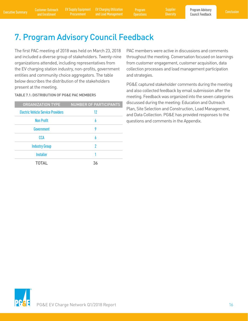Executive Summary Customer Outreach EV Supply Equipment EV Charging Utilization Program Supplier Rogram Advisory<br>Executive Summary and Enrollment Procurement and Load Management Operations Diversity Council Feedback Conclu EV Charging Utilization and Load Management

Program **Operations**  **Diversity** 

## 7. Program Advisory Council Feedback

The first PAC meeting of 2018 was held on March 23, 2018 and included a diverse group of stakeholders. Twenty-nine organizations attended, including representatives from the EV charging station industry, non-profits, government entities and community choice aggregators. The table below describes the distribution of the stakeholders present at the meeting.

#### TABLE 7.1: DISTRIBUTION OF PG&E PAC MEMBERS

| <b>ORGANIZATION TYPE</b>                  | <b>NUMBER OF PARTICIPANTS</b> |
|-------------------------------------------|-------------------------------|
| <b>Electric Vehicle Service Providers</b> | 12                            |
| <b>Non Profit</b>                         | 6                             |
| Government                                | 9                             |
| <b>CCA</b>                                | 6                             |
| <b>Industry Group</b>                     | 2                             |
| <b>Installer</b>                          |                               |
| <b>TOTAL</b>                              | 36                            |

PAC members were active in discussions and comments throughout the meeting. Conversation focused on learnings from customer engagement, customer acquisition, data collection processes and load management participation and strategies.

PG&E captured stakeholder comments during the meeting and also collected feedback by email submission after the meeting. Feedback was organized into the seven categories discussed during the meeting: Education and Outreach Plan, Site Selection and Construction, Load Management, and Data Collection. PG&E has provided responses to the questions and comments in the Appendix.

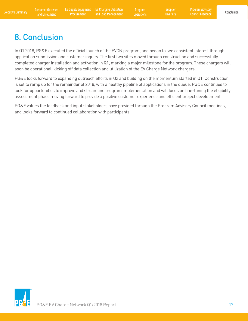Program Advisory Council Feedback

## 8. Conclusion

In Q1 2018, PG&E executed the official launch of the EVCN program, and began to see consistent interest through application submission and customer inquiry. The first two sites moved through construction and successfully completed charger installation and activation in Q1, marking a major milestone for the program. These chargers will soon be operational, kicking off data collection and utilization of the EV Charge Network chargers.

PG&E looks forward to expanding outreach efforts in Q2 and building on the momentum started in Q1. Construction is set to ramp up for the remainder of 2018, with a healthy pipeline of applications in the queue. PG&E continues to look for opportunities to improve and streamline program implementation and will focus on fine-tuning the eligibility assessment phase moving forward to provide a positive customer experience and efficient project development.

PG&E values the feedback and input stakeholders have provided through the Program Advisory Council meetings, and looks forward to continued collaboration with participants.

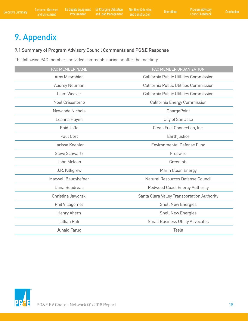## 9. Appendix

## 9.1 Summary of Program Advisory Council Comments and PG&E Response

The following PAC members provided comments during or after the meeting:

| PAC MEMBER NAME       | PAC MEMBER ORGANIZATION                     |
|-----------------------|---------------------------------------------|
| Amy Mesrobian         | California Public Utilities Commission      |
| Audrey Neuman         | California Public Utilities Commission      |
| Liam Weaver           | California Public Utilities Commission      |
| Noel Crisostomo       | California Energy Commission                |
| Newonda Nichols       | ChargePoint                                 |
| Leanna Huynh          | City of San Jose                            |
| Enid Joffe            | Clean Fuel Connection, Inc.                 |
| Paul Cort             | Earthjustice                                |
| Larissa Koehler       | <b>Environmental Defense Fund</b>           |
| <b>Steve Schwartz</b> | Freewire                                    |
| John Mclean           | Greenlots                                   |
| J.R. Killigrew        | Marin Clean Energy                          |
| Maxwell Baumhefner    | Natural Resources Defense Council           |
| Dana Boudreau         | Redwood Coast Energy Authority              |
| Christina Jaworski    | Santa Clara Valley Transportation Authority |
| Phil Villagomez       | <b>Shell New Energies</b>                   |
| Henry Ahern           | <b>Shell New Energies</b>                   |
| Lillian Rafi          | <b>Small Business Utility Advocates</b>     |
| Junaid Faruq          | Tesla                                       |

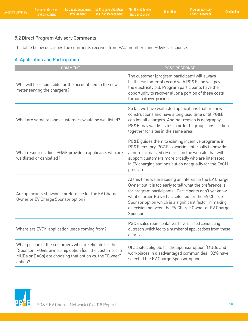## 9.2 Direct Program Advisory Comments

The table below describes the comments received from PAC members and PG&E's response.

## A. Application and Participation

| <b>COMMENT</b>                                                                                                                                                                         | <b>PG&amp;E RESPONSE</b>                                                                                                                                                                                                                                                                                                                                      |
|----------------------------------------------------------------------------------------------------------------------------------------------------------------------------------------|---------------------------------------------------------------------------------------------------------------------------------------------------------------------------------------------------------------------------------------------------------------------------------------------------------------------------------------------------------------|
| Who will be responsible for the account tied to the new<br>meter serving the chargers?                                                                                                 | The customer (program participant) will always<br>be the customer of record with PG&E and will pay<br>the electricity bill. Program participants have the<br>opportunity to recover all or a portion of these costs<br>through driver pricing.                                                                                                                |
| What are some reasons customers would be waitlisted?                                                                                                                                   | So far, we have waitlisted applications that are new<br>constructions and have a long lead time until PG&E<br>can install chargers. Another reason is geography.<br>PG&E may waitlist sites in order to group construction<br>together for sites in the same area.                                                                                            |
| What resources does PG&E provide to applicants who are<br>waitlisted or cancelled?                                                                                                     | PG&E guides them to existing incentive programs in<br>PG&E territory. PG&E is working internally to provide<br>a more formalized resource on the website that will<br>support customers more broadly who are interested<br>in EV charging stations but do not qualify for the EVCN<br>program.                                                                |
| Are applicants showing a preference for the EV Charge<br>Owner or EV Charge Sponsor option?                                                                                            | At this time we are seeing an interest in the EV Charge<br>Owner but it is too early to tell what the preference is<br>for program participants. Participants don't yet know<br>what charger PG&E has selected for the EV Charge<br>Sponsor option which is a significant factor in making<br>a decision between the EV Charge Owner or EV Charge<br>Sponsor. |
| Where are EVCN application leads coming from?                                                                                                                                          | PG&E sales representatives have started conducting<br>outreach which led to a number of applications from these<br>efforts.                                                                                                                                                                                                                                   |
| What portion of the customers who are eligible for the<br>"Sponsor" PG&E ownership option (i.e., the customers in<br>MUDs or DACs) are choosing that option vs. the "Owner"<br>option? | Of all sites eligible for the Sponsor option (MUDs and<br>workplaces in disadvantaged communities), 32% have<br>selected the EV Charge Sponsor option.                                                                                                                                                                                                        |